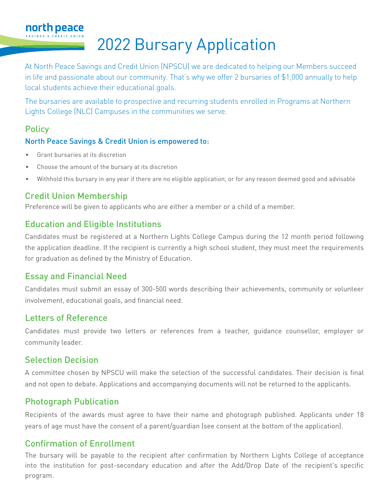## 2022 Bursary Application

At North Peace Savings and Credit Union (NPSCU) we are dedicated to helping our Members succeed in life and passionate about our community. That's why we offer 2 bursaries of \$1,000 annually to help local students achieve their educational goals.

The bursaries are available to prospective and recurring students enrolled in Programs at Northern Lights College (NLC) Campuses in the communities we serve.

### **Policy**

north peace

#### North Peace Savings & Credit Union is empowered to:

- Grant bursaries at its discretion
- Choose the amount of the bursary at its discretion
- Withhold this bursary in any year if there are no eligible application, or for any reason deemed good and advisable

### Credit Union Membership

Preference will be given to applicants who are either a member or a child of a member.

#### Education and Eligible Institutions

Candidates must be registered at a Northern Lights College Campus during the 12 month period following the application deadline. If the recipient is currently a high school student, they must meet the requirements for graduation as defined by the Ministry of Education.

#### Essay and Financial Need

Candidates must submit an essay of 300-500 words describing their achievements, community or volunteer involvement, educational goals, and financial need.

#### Letters of Reference

Candidates must provide two letters or references from a teacher, guidance counsellor, employer or community leader.

#### Selection Decision

A committee chosen by NPSCU will make the selection of the successful candidates. Their decision is final and not open to debate. Applications and accompanying documents will not be returned to the applicants.

#### Photograph Publication

Recipients of the awards must agree to have their name and photograph published. Applicants under 18 years of age must have the consent of a parent/guardian (see consent at the bottom of the application).

#### Confirmation of Enrollment

The bursary will be payable to the recipient after confirmation by Northern Lights College of acceptance into the institution for post-secondary education and after the Add/Drop Date of the recipient's specific program.